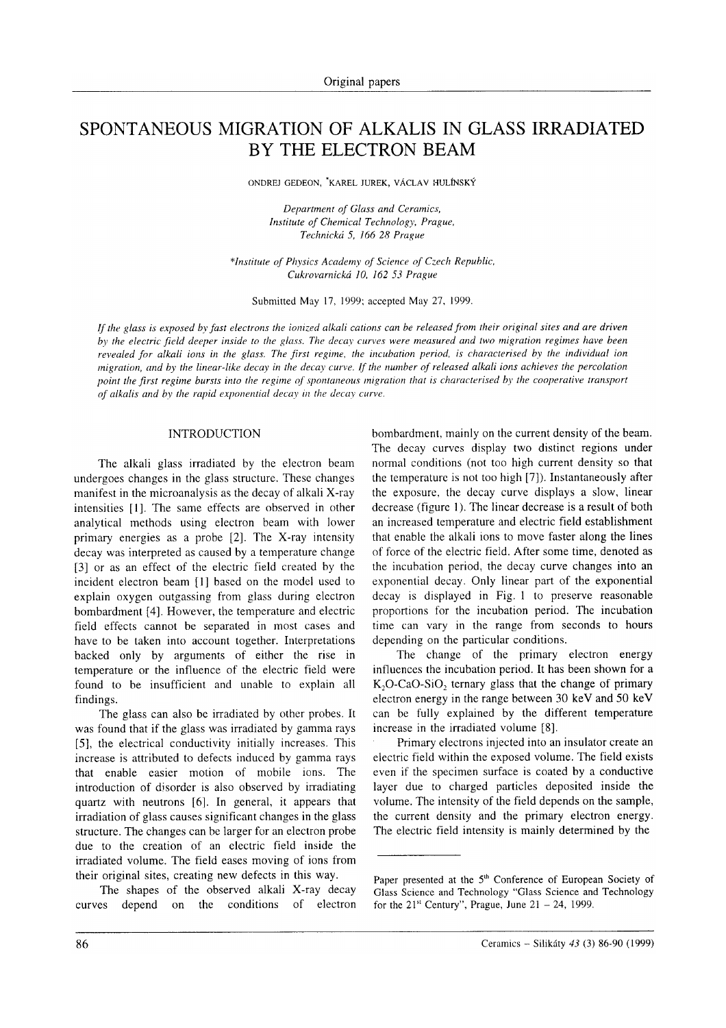# SPONTANEOUS MIGRATION OF ALKALIS IN GLASS IRRADIATED BY THE ELECTRON BEAM

ONDREJ GEDEON, \*KAREL JUREK, VÁCLAV HULÍNSKÝ

Department of Glass and Ceramics, Institute of Chemica! Technologv, Prague, Technická 5, 166 28 Prague

\*Institute of Physics Academy of Science of Czech Republic, Cukrovarnická 10, 162 53 Prague

Submitted May 17, 1999; accepted May 27, 1999.

If the glass is exposed by fast electrons the ionized alkali cations can be released from their original sites and are driven by the electric field deeper inside to the glass. The decay curves were measured and two migration regimes have been revealed for alkali ions in the glass. The first regine, the incubation period, is characterised by the individual ion migration, and by the linear-like decay in the decay curve. If the number of released alkali ions achieves the percolation point the first regime bursts into the regime of spontaneous migration that is characterised by the cooperative transport of alkalis and by the rapid exponential decay in the decay curve.

## INTRODUCTION

The alkali glass irradiated by the electron beam undergoes changes in the glass structure. These changes manifest in the microanalysis as the decay of alkali X-ray intensities [1]. The same effects are observed in other analytical methods using electron beam with lower primary energies as a probe [2]. The X-ray intensity decay was interpreted as caused by a temperature change [3] or as an effect of the electric field created by the incident electron beam [1] based on the model used to explain oxygen outgassing from glass during electron bombardment [4]. However, the temperature and electric field effects cannot be separated in most cases and have to be taken into account together. Interpretations backed only by arguments of either the rise in temperature or the influence of the electric field were found to be insufficient and unable to explain all findings.

The glass can also be irradiated by other probes. It was found that if the glass was irradiated by gamma rays [5], the electrical conductivity initially increases. This increase is attributed to defects induced by gamma rays that enable easier motion of mobile ions. The introduction of disorder is also observed by irradiating quartz with neutrons [6|. In general, it appears that irradiation of glass causes significant changes in the glass structure. The changes can be larger for an electron probe due to the creation of an electric field inside the irradiated volume. The field eases moving of ions from their original sites, creating new defects in this way.

The shapes of the observed alkali X-ray decay curves depend on the conditions of electron bornbardment, mainly on the current density of the beam. The decay curves display two distinct regions under normal conditions (not too high current density so that the temperature is not too high  $[7]$ ). Instantaneously after the exposure, the decay curve displays a slow, linear decrease (figure 1). The linear decrease is a result of both an increased temperature and electric field establishment that enable the alkali ions to move faster along the lines of force of the electric field. After some time, denoted as the incubation period, the decay curve changes into an exponential decay. Only linear part of the exponential decay is displayed in Fig. I to preserve reasonable proportions for the incubation period. The incubation time can vary in the range from seconds to hours depending on the particular conditions.

The change of the primary electron energy influences the incubation period. It has been shown for a  $K_2O$ -CaO-SiO<sub>2</sub> ternary glass that the change of primary electron energy in the range between 30 keV and 50 keV can be Íully explained by the different temperature increase in the irradiated volume [8].<br>
Primary electrons injected into an insulator create an

electric field within the exposed volume. The field exists even iť the specimen surface is coated by a conductive layer due to charged particles deposited inside the volume. The intensity of the field depends on the sample, the current density and the primary electron energy. The electric field intensity is mainly determined by the

Paper presented at the 5<sup>th</sup> Conference of European Society of Glass Science and Technology "Glass Science and Technology for the  $21<sup>st</sup>$  Century", Prague, June  $21 - 24$ , 1999.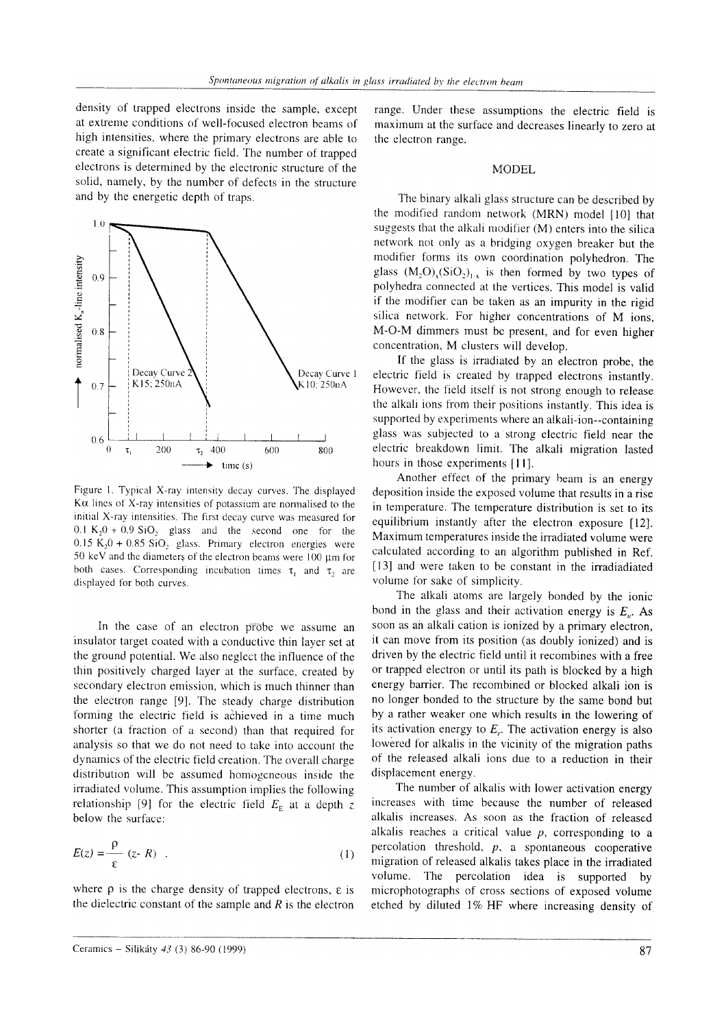density of trapped electrons inside the sample, except at extreme conditions of well-focused electron beams of high intensities, where the primary electrons are able to create a significant electric field. The number of trapped electrons is determined by the electronic structure of the solid, namely, by the number of defects in the structure and by the energetic depth of traps.



Figure 1. Typical X-ray intensity decay curves. The displayed  $K\alpha$  lines of X-ray intensities of potassium are normalised to the initial X-ray intensities. The first decay curve was measured for  $0.1 K_2 0 + 0.9 SiO_2$  glass and the second one for the  $0.15 K<sub>2</sub>0 + 0.85 SiO<sub>2</sub> glass$ . Primary electron energies were 50 keV and the diameters of the electron beams were 100  $\mu$ m for both cases. Corresponding incubation times  $\tau_1$  and  $\tau_2$  are displayed for both curves.

In the case of an electron probe we assume an insulator target coated with a conductive thin layer set at the ground potential. We also neglect the influence of the thin positively charged layer at the surface, created by secondary electron emission, which is much thinner than the electron range [9]. The steady charge distribution forming the electric field is achieved in a time much shorter (a fraction of a second) than that required for analysis so that we do not need to take into account the dynamics of the electric field creation. The overall charge distribution will be assumed homogeneous inside the irradiated volume. This assumption implies the following relationship [9] for the electric field  $E<sub>E</sub>$  at a depth z below the surface:

$$
E(z) = \frac{\rho}{\varepsilon} (z - R) \quad . \tag{1}
$$

where  $\rho$  is the charge density of trapped electrons,  $\varepsilon$  is the dielectric constant of the sample and  $R$  is the electron range. Under these assumptions the electric field is maximum at the surface and decreases linearly to zero at the electron range.

## **MODEL**

The binary alkali glass structure can be described by the modified random network (MRN) model [10] that suggests that the alkali modifier (M) enters into the silica network not only as a bridging oxygen breaker but the modifier forms its own coordination polyhedron. The glass  $(M_2O)_{x}(SiO_2)_{1-x}$  is then formed by two types of polyhedra connected at the vertices. This model is valid if the modifier can be taken as an impurity in the rigid silica network. For higher concentrations of M ions, M-O-M dimmers must be present, and for even higher concentration, M clusters will develop.

If the glass is irradiated by an electron probe, the electric field is created by trapped electrons instantly. However, the field itself is not strong enough to release the alkali ions from their positions instantly. This idea is supported by experiments where an alkali-ion--containing glass was subjected to a strong electric field near the electric breakdown limit. The alkali migration lasted hours in those experiments [11].

Another effect of the primary beam is an energy deposition inside the exposed volume that results in a rise in temperature. The temperature distribution is set to its equilibrium instantly after the electron exposure [12]. Maximum temperatures inside the irradiated volume were calculated according to an algorithm published in Ref. [13] and were taken to be constant in the irradiadiated volume for sake of simplicity.

The alkali atoms are largely bonded by the ionic bond in the glass and their activation energy is  $E_{\mu}$ . As soon as an alkali cation is ionized by a primary electron, it can move from its position (as doubly ionized) and is driven by the electric field until it recombines with a free or trapped electron or until its path is blocked by a high energy barrier. The recombined or blocked alkali ion is no longer bonded to the structure by the same bond but by a rather weaker one which results in the lowering of its activation energy to  $E<sub>r</sub>$ . The activation energy is also lowered for alkalis in the vicinity of the migration paths of the released alkali ions due to a reduction in their displacement energy.

The number of alkalis with lower activation energy increases with time because the number of released alkalis increases. As soon as the fraction of released alkalis reaches a critical value  $p$ , corresponding to a percolation threshold,  $p$ , a spontaneous cooperative migration of released alkalis takes place in the irradiated volume. The percolation idea is supported by microphotographs of cross sections of exposed volume etched by diluted 1% HF where increasing density of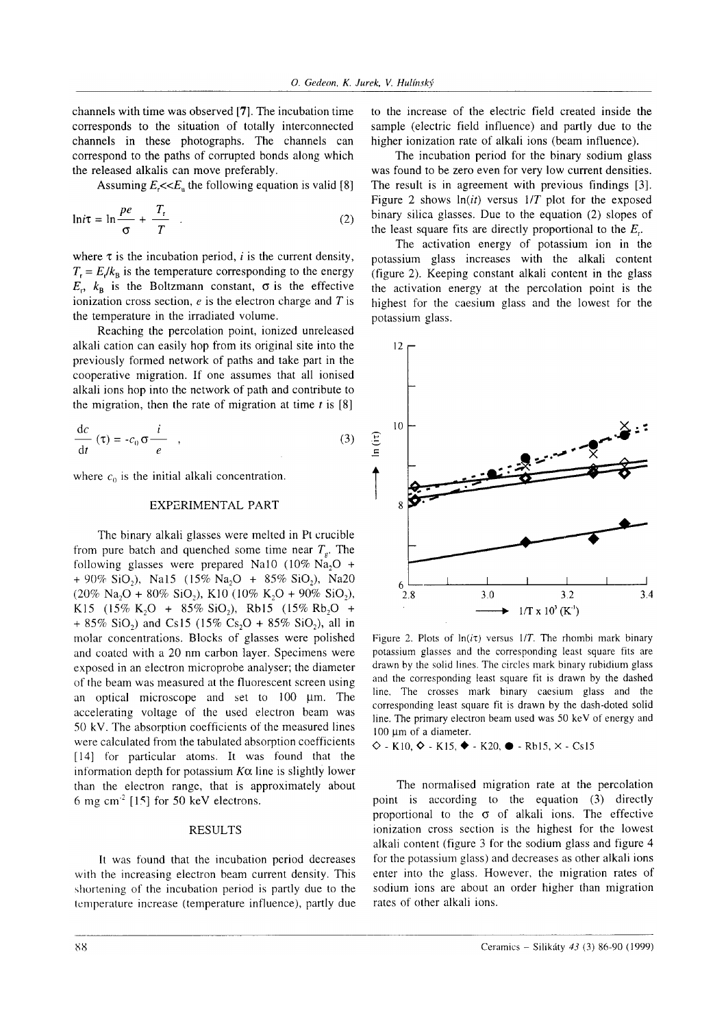channels with time was observed [7|. The incubation time corresponds to the situation of totally interconnected channels in these photographs. The channels can correspond to the paths of corrupted bonds along which the released alkalis can move preferably.

Assuming  $E\ll E$ , the following equation is valid [8]

$$
\ln i\tau = \ln \frac{pe}{\sigma} + \frac{T_r}{T} \quad . \tag{2}
$$

where  $\tau$  is the incubation period, *i* is the current density,  $T_r = E/k_B$  is the temperature corresponding to the energy  $E_r$ ,  $k_B$  is the Boltzmann constant,  $\sigma$  is the effective ionization cross section,  $e$  is the electron charge and  $T$  is the temperature in the irradiated volume.

Reaching the percolation point, ionized unreleased alkali cation can easily hop from its original site into the previously formed network of paths and take part in the cooperative migration. If one assumes that all ionised alkali ions hop into the network of path and contribute to the migration, then the rate of migration at time  $t$  is [8]

$$
\frac{dc}{dt}(\tau) = -c_0 \sigma \frac{i}{e} , \qquad (3)
$$

where  $c_0$  is the initial alkali concentration.

### EXPERIMENTAL PART

The binary alkali glasses were melted in Pt crucible from pure batch and quenched some time near  $T<sub>g</sub>$ . The following glasses were prepared Na10 (10% Na<sub>2</sub>O +  $+90\%$  SiO<sub>2</sub>), Na15 (15% Na<sub>2</sub>O + 85% SiO<sub>2</sub>), Na20  $(20\%$  Na<sub>2</sub>O + 80% SiO<sub>2</sub>), K10 (10% K<sub>2</sub>O + 90% SiO<sub>2</sub>), K15 (15% K<sub>2</sub>O + 85% SiO<sub>2</sub>), Rb15 (15% Rb<sub>2</sub>O + + 85% SiO<sub>2</sub>) and Cs15 (15% Cs<sub>2</sub>O + 85% SiO<sub>2</sub>), all in molar concentrations. Blocks of glasses were polished and coated with a 20 nm carbon layer. Specimens were exposed in an electron microprobe analyser; the diameter of the beam was measured at the Íluorescent screen using an optical microscope and set to  $100 \mu m$ . The accelerating voltage of the used electron beam was 50 kV. The absorption coefficients of the measured lines were calculated from the tabulated absorption coefficients [14] for particular atoms. It was found that the information depth for potassium  $K\alpha$  line is slightly lower than the electron range, that is approximately about 6 mg cm<sup>-2</sup> [15] for 50 keV electrons.

## RESULTS

It was found that the incubation period decreases with the increasing electron beam current density. This shortening of the incubation period is partly due to the temperature increase (temperature influence), partly due

to the increase of the electric field created inside the sample (electric field influence) and partly due to the higher ionization rate of alkali ions (beam influence).

The incubation period for the binary sodium glass was found to be zero even for very low current densities. The result is in agreement with previous findings [3]. Figure 2 shows  $ln(it)$  versus  $1/T$  plot for the exposed binary silica glasses. Due to the equation (2) slopes of the least square fits are directly proportional to the  $E<sub>r</sub>$ .

The activation energy of potassium ion in the potassium glass increases with the alkali content (figure 2). Keeping constant alkali content in the glass the activation energy at the percolation point is the highest for the caesium glass and the lowest for the potassium glass.



Figure 2. Plots of  $ln(i\tau)$  versus 1/T. The rhombi mark binary potassium glasses and the corresponding least square fits are drawn by the solid lines. The circles mark binary rubidium glass and the corresponding least square fit is drawn by the dashed line. The crosses mark binary caesium glass and the corresponding least square fit is drawn by the dash-doted solid line. The primary electron beam used was  $50 \text{ keV}$  of energy and l00 μm of a diameter.

 $\Diamond$  - K10,  $\Diamond$  - K15,  $\blacklozenge$  - K20,  $\blacksquare$  - Rb15,  $\times$  - Cs15

The normalised migration rate at the percolation point is according to the equation (3) directly proportional to the  $\sigma$  of alkali ions. The effective ionization cross section is the highest for the lowest alkali content (figure 3 for the sodium glass and figure 4 for the potassium glass) and decreases as other alkali ions enter into the glass. However, the migration rates of sodium ions are about an order higher than migration rates of other alkali ions.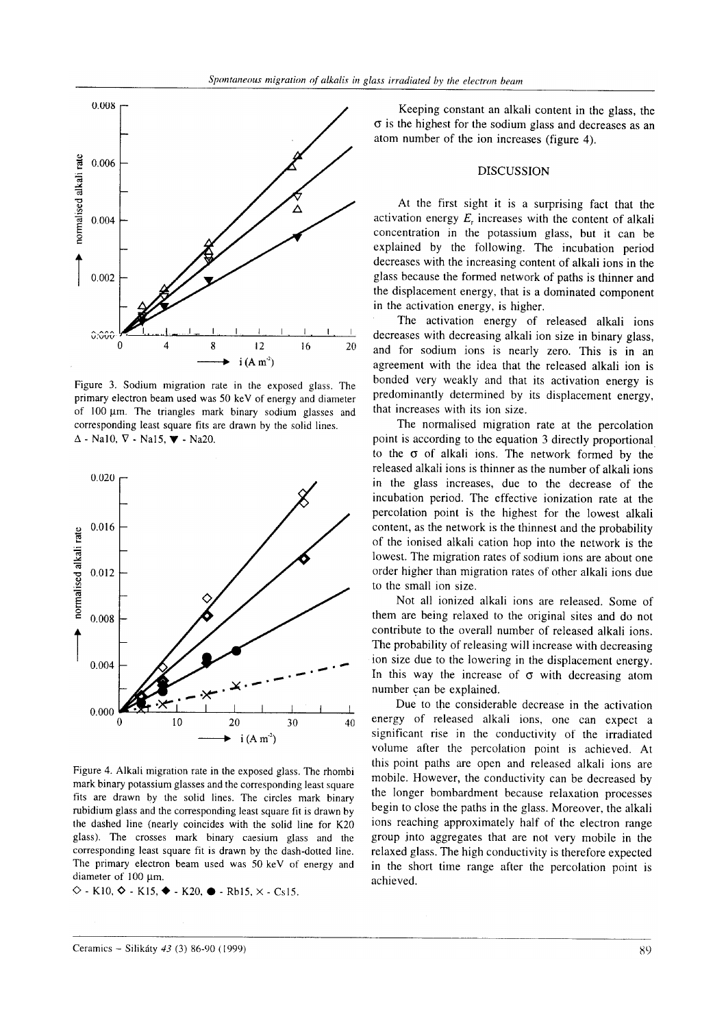

Figure 3. Sodium migration rate in the exposed glass. The primary electron beam used was 50 keV of energy and diameter of  $100 \mu m$ . The triangles mark binary sodium glasses and corresponding least square fits are drawn by the solid lines.  $\Delta$  - Na10,  $\nabla$  - Na15,  $\nabla$  - Na20.



Figure 4. Alkali migration rate in the exposed glass. The rhombi mark binary potassium glasses and the corresponding least square fits are drawn by the solid lines. The circles mark binary rubidium glass and the corresponding least square fit is drawn by the dashed line (nearly coincides with the solid line for K20 glass). The crosses mark binary caesium glass and the corresponding least square fit is drawn by the dash-dotted line. The primary electron beam used was 50 keV oť energy and diameter of 100 µm.

 $\Diamond$  - K10,  $\Diamond$  - K15,  $\blacklozenge$  - K20,  $\blacksquare$  - Rb15,  $\times$  - Cs15.

Keeping constant an alkali content in the glass, the  $\sigma$  is the highest for the sodium glass and decreases as an atom number of the ion increases (figure 4).

#### DISCUSSION

At the first sight it is a surprising fact that the activation energy  $E<sub>r</sub>$  increases with the content of alkali concentration in the potassium glass, but it can be explained by the following. The incubation period decreases with the increasing content of alkali ions in the glass because the formed network of paths is thinner and the displacement energy, that is a dominated component in the activation energy, is higher.

The activation energy of released alkali ions decreases with decreasing alkali ion size in binary glass, and for sodium ions is nearly zero. This is in an agreement with the idea that the released alkali ion is bonded very weakly and that its activation energy is predominantly determined by its displacement energy, that increases with its ion size.

The normalised migration rate at the percolation point is according to the equation 3 directly proportional to the  $\sigma$  of alkali ions. The network formed by the released alkali ions is thinner as the number of alkali ions in the glass increases, due to the decrease of the incubation period. The effective ionization rate at the percolation point is the highest for the lowest alkali content, as the network is the thinnest and the probability of the ionised alkali cation hop into the network is the lowest. The migration rates of sodium ions are about one order higher than migration rates oť other alkali ions due to the small ion size.

Not all ionized alkali ions are released. Some of them are being relaxed to the original sites and do not contribute to the overall number of released alkali ions. The probability of releasing will increase with decreasing ion size due to the lowering in the displacement energy. In this way the increase of  $\sigma$  with decreasing atom number can be explained.

Due to the considerable decrease in the activation energy of released alkali ions, one can expect <sup>a</sup> significant rise in the conductivity of the irradiated volume after the percolation point is achieved. At this point paths are open and released alkali ions are mobile. However, the conductivity can be decreased by the Ionger bombardment because relaxation processes begin to close the paths in the glass. Moreover, the alkali ions reaching approximately half of the electron range group into aggregates that are not very mobile in the relaxed glass. The high conductivity is therefore expected in the short time range after the percolation point is achieved.